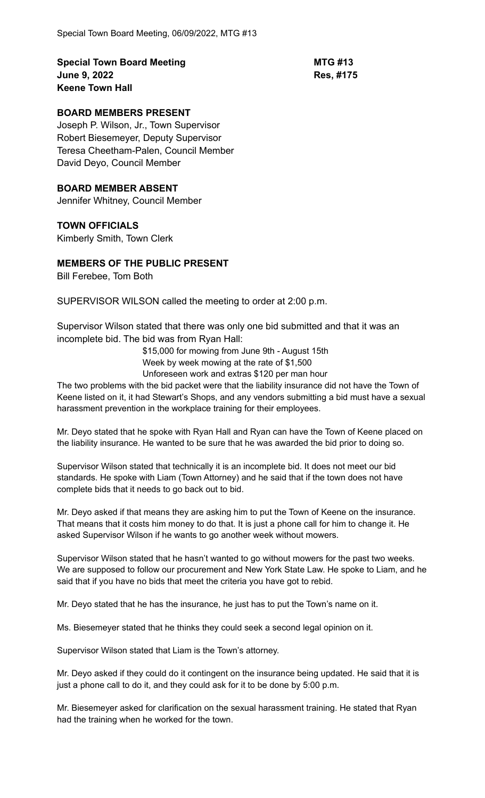**Special Town Board Meeting <b>MTG #13 June 9, 2022 Res, #175 Keene Town Hall**

## **BOARD MEMBERS PRESENT**

Joseph P. Wilson, Jr., Town Supervisor Robert Biesemeyer, Deputy Supervisor Teresa Cheetham-Palen, Council Member David Deyo, Council Member

### **BOARD MEMBER ABSENT**

Jennifer Whitney, Council Member

## **TOWN OFFICIALS**

Kimberly Smith, Town Clerk

## **MEMBERS OF THE PUBLIC PRESENT**

Bill Ferebee, Tom Both

SUPERVISOR WILSON called the meeting to order at 2:00 p.m.

Supervisor Wilson stated that there was only one bid submitted and that it was an incomplete bid. The bid was from Ryan Hall:

> \$15,000 for mowing from June 9th - August 15th Week by week mowing at the rate of \$1,500

Unforeseen work and extras \$120 per man hour

The two problems with the bid packet were that the liability insurance did not have the Town of Keene listed on it, it had Stewart's Shops, and any vendors submitting a bid must have a sexual harassment prevention in the workplace training for their employees.

Mr. Deyo stated that he spoke with Ryan Hall and Ryan can have the Town of Keene placed on the liability insurance. He wanted to be sure that he was awarded the bid prior to doing so.

Supervisor Wilson stated that technically it is an incomplete bid. It does not meet our bid standards. He spoke with Liam (Town Attorney) and he said that if the town does not have complete bids that it needs to go back out to bid.

Mr. Deyo asked if that means they are asking him to put the Town of Keene on the insurance. That means that it costs him money to do that. It is just a phone call for him to change it. He asked Supervisor Wilson if he wants to go another week without mowers.

Supervisor Wilson stated that he hasn't wanted to go without mowers for the past two weeks. We are supposed to follow our procurement and New York State Law. He spoke to Liam, and he said that if you have no bids that meet the criteria you have got to rebid.

Mr. Deyo stated that he has the insurance, he just has to put the Town's name on it.

Ms. Biesemeyer stated that he thinks they could seek a second legal opinion on it.

Supervisor Wilson stated that Liam is the Town's attorney.

Mr. Deyo asked if they could do it contingent on the insurance being updated. He said that it is just a phone call to do it, and they could ask for it to be done by 5:00 p.m.

Mr. Biesemeyer asked for clarification on the sexual harassment training. He stated that Ryan had the training when he worked for the town.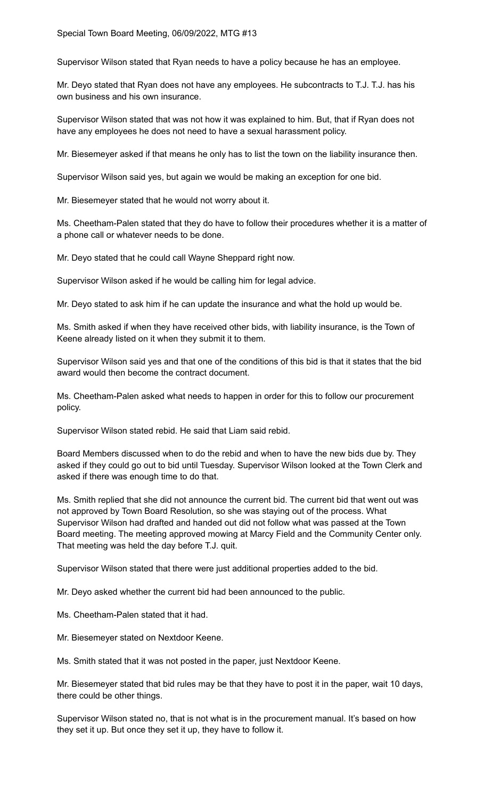Supervisor Wilson stated that Ryan needs to have a policy because he has an employee.

Mr. Deyo stated that Ryan does not have any employees. He subcontracts to T.J. T.J. has his own business and his own insurance.

Supervisor Wilson stated that was not how it was explained to him. But, that if Ryan does not have any employees he does not need to have a sexual harassment policy.

Mr. Biesemeyer asked if that means he only has to list the town on the liability insurance then.

Supervisor Wilson said yes, but again we would be making an exception for one bid.

Mr. Biesemeyer stated that he would not worry about it.

Ms. Cheetham-Palen stated that they do have to follow their procedures whether it is a matter of a phone call or whatever needs to be done.

Mr. Deyo stated that he could call Wayne Sheppard right now.

Supervisor Wilson asked if he would be calling him for legal advice.

Mr. Deyo stated to ask him if he can update the insurance and what the hold up would be.

Ms. Smith asked if when they have received other bids, with liability insurance, is the Town of Keene already listed on it when they submit it to them.

Supervisor Wilson said yes and that one of the conditions of this bid is that it states that the bid award would then become the contract document.

Ms. Cheetham-Palen asked what needs to happen in order for this to follow our procurement policy.

Supervisor Wilson stated rebid. He said that Liam said rebid.

Board Members discussed when to do the rebid and when to have the new bids due by. They asked if they could go out to bid until Tuesday. Supervisor Wilson looked at the Town Clerk and asked if there was enough time to do that.

Ms. Smith replied that she did not announce the current bid. The current bid that went out was not approved by Town Board Resolution, so she was staying out of the process. What Supervisor Wilson had drafted and handed out did not follow what was passed at the Town Board meeting. The meeting approved mowing at Marcy Field and the Community Center only. That meeting was held the day before T.J. quit.

Supervisor Wilson stated that there were just additional properties added to the bid.

Mr. Deyo asked whether the current bid had been announced to the public.

Ms. Cheetham-Palen stated that it had.

Mr. Biesemeyer stated on Nextdoor Keene.

Ms. Smith stated that it was not posted in the paper, just Nextdoor Keene.

Mr. Biesemeyer stated that bid rules may be that they have to post it in the paper, wait 10 days, there could be other things.

Supervisor Wilson stated no, that is not what is in the procurement manual. It's based on how they set it up. But once they set it up, they have to follow it.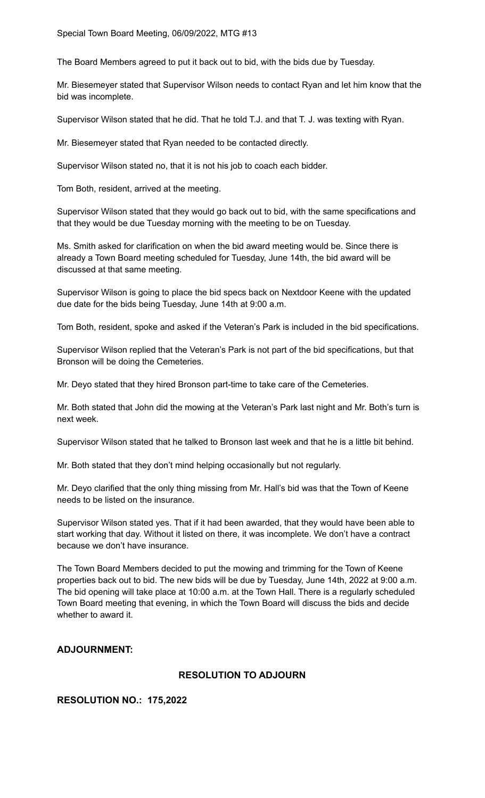The Board Members agreed to put it back out to bid, with the bids due by Tuesday.

Mr. Biesemeyer stated that Supervisor Wilson needs to contact Ryan and let him know that the bid was incomplete.

Supervisor Wilson stated that he did. That he told T.J. and that T. J. was texting with Ryan.

Mr. Biesemeyer stated that Ryan needed to be contacted directly.

Supervisor Wilson stated no, that it is not his job to coach each bidder.

Tom Both, resident, arrived at the meeting.

Supervisor Wilson stated that they would go back out to bid, with the same specifications and that they would be due Tuesday morning with the meeting to be on Tuesday.

Ms. Smith asked for clarification on when the bid award meeting would be. Since there is already a Town Board meeting scheduled for Tuesday, June 14th, the bid award will be discussed at that same meeting.

Supervisor Wilson is going to place the bid specs back on Nextdoor Keene with the updated due date for the bids being Tuesday, June 14th at 9:00 a.m.

Tom Both, resident, spoke and asked if the Veteran's Park is included in the bid specifications.

Supervisor Wilson replied that the Veteran's Park is not part of the bid specifications, but that Bronson will be doing the Cemeteries.

Mr. Deyo stated that they hired Bronson part-time to take care of the Cemeteries.

Mr. Both stated that John did the mowing at the Veteran's Park last night and Mr. Both's turn is next week.

Supervisor Wilson stated that he talked to Bronson last week and that he is a little bit behind.

Mr. Both stated that they don't mind helping occasionally but not regularly.

Mr. Deyo clarified that the only thing missing from Mr. Hall's bid was that the Town of Keene needs to be listed on the insurance.

Supervisor Wilson stated yes. That if it had been awarded, that they would have been able to start working that day. Without it listed on there, it was incomplete. We don't have a contract because we don't have insurance.

The Town Board Members decided to put the mowing and trimming for the Town of Keene properties back out to bid. The new bids will be due by Tuesday, June 14th, 2022 at 9:00 a.m. The bid opening will take place at 10:00 a.m. at the Town Hall. There is a regularly scheduled Town Board meeting that evening, in which the Town Board will discuss the bids and decide whether to award it.

#### **ADJOURNMENT:**

### **RESOLUTION TO ADJOURN**

#### **RESOLUTION NO.: 175,2022**